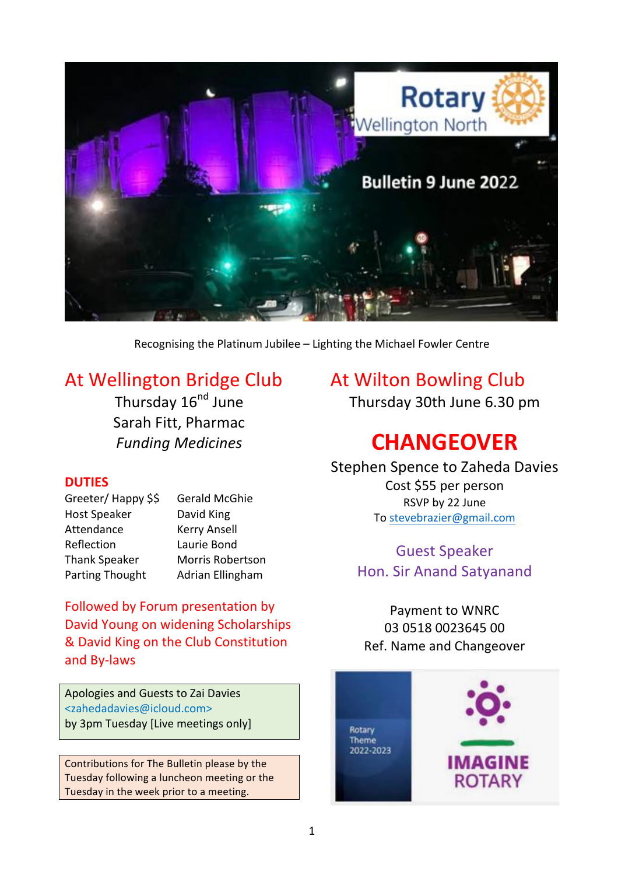

Recognising the Platinum Jubilee - Lighting the Michael Fowler Centre

## At Wellington Bridge Club

Thursday 16<sup>nd</sup> June Sarah Fitt, Pharmac *Funding Medicines*

## **DUTIES**

| Greeter/Happy \$\$     | <b>Gerald McGhie</b>    |
|------------------------|-------------------------|
| <b>Host Speaker</b>    | David King              |
| Attendance             | <b>Kerry Ansell</b>     |
| Reflection             | Laurie Bond             |
| <b>Thank Speaker</b>   | <b>Morris Robertson</b> |
| <b>Parting Thought</b> | Adrian Ellingham        |

Followed by Forum presentation by David Young on widening Scholarships & David King on the Club Constitution and By-laws

Apologies and Guests to Zai Davies <zahedadavies@icloud.com> by 3pm Tuesday [Live meetings only]

Contributions for The Bulletin please by the Tuesday following a luncheon meeting or the Tuesday in the week prior to a meeting.

## At Wilton Bowling Club

Thursday 30th June 6.30 pm

# **CHANGEOVER**

## Stephen Spence to Zaheda Davies

Cost \$55 per person RSVP by 22 June To stevebrazier@gmail.com

**Guest Speaker** Hon. Sir Anand Satyanand

Payment to WNRC 03 0518 0023645 00 Ref. Name and Changeover

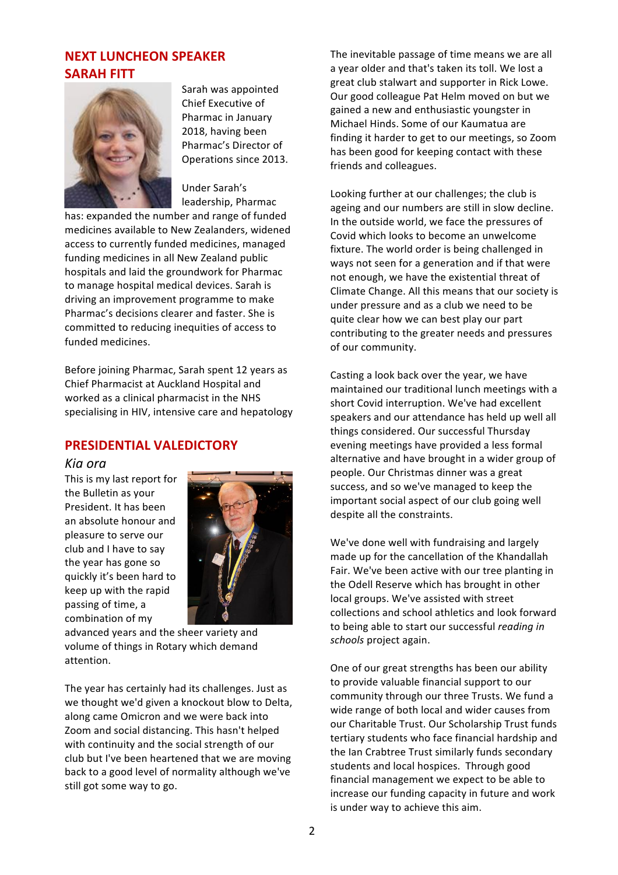## **NEXT LUNCHEON SPEAKER SARAH FITT**



Sarah was appointed Chief Executive of Pharmac in January 2018, having been Pharmac's Director of Operations since 2013.

Under Sarah's leadership, Pharmac

has: expanded the number and range of funded medicines available to New Zealanders, widened access to currently funded medicines, managed funding medicines in all New Zealand public hospitals and laid the groundwork for Pharmac to manage hospital medical devices. Sarah is driving an improvement programme to make Pharmac's decisions clearer and faster. She is committed to reducing inequities of access to funded medicines.

Before joining Pharmac, Sarah spent 12 years as Chief Pharmacist at Auckland Hospital and worked as a clinical pharmacist in the NHS specialising in HIV, intensive care and hepatology

## **PRESIDENTIAL VALEDICTORY**

#### *Kia ora*

This is my last report for the Bulletin as your President. It has been an absolute honour and pleasure to serve our club and I have to say the year has gone so quickly it's been hard to keep up with the rapid passing of time, a combination of my



advanced years and the sheer variety and volume of things in Rotary which demand attention.

The year has certainly had its challenges. Just as we thought we'd given a knockout blow to Delta, along came Omicron and we were back into Zoom and social distancing. This hasn't helped with continuity and the social strength of our club but I've been heartened that we are moving back to a good level of normality although we've still got some way to go.

The inevitable passage of time means we are all a year older and that's taken its toll. We lost a great club stalwart and supporter in Rick Lowe. Our good colleague Pat Helm moved on but we gained a new and enthusiastic youngster in Michael Hinds. Some of our Kaumatua are finding it harder to get to our meetings, so Zoom has been good for keeping contact with these friends and colleagues.

Looking further at our challenges; the club is ageing and our numbers are still in slow decline. In the outside world, we face the pressures of Covid which looks to become an unwelcome fixture. The world order is being challenged in ways not seen for a generation and if that were not enough, we have the existential threat of Climate Change. All this means that our society is under pressure and as a club we need to be quite clear how we can best play our part contributing to the greater needs and pressures of our community.

Casting a look back over the year, we have maintained our traditional lunch meetings with a short Covid interruption. We've had excellent speakers and our attendance has held up well all things considered. Our successful Thursday evening meetings have provided a less formal alternative and have brought in a wider group of people. Our Christmas dinner was a great success, and so we've managed to keep the important social aspect of our club going well despite all the constraints.

We've done well with fundraising and largely made up for the cancellation of the Khandallah Fair. We've been active with our tree planting in the Odell Reserve which has brought in other local groups. We've assisted with street collections and school athletics and look forward to being able to start our successful *reading* in *schools* project again.

One of our great strengths has been our ability to provide valuable financial support to our community through our three Trusts. We fund a wide range of both local and wider causes from our Charitable Trust. Our Scholarship Trust funds tertiary students who face financial hardship and the Ian Crabtree Trust similarly funds secondary students and local hospices. Through good financial management we expect to be able to increase our funding capacity in future and work is under way to achieve this aim.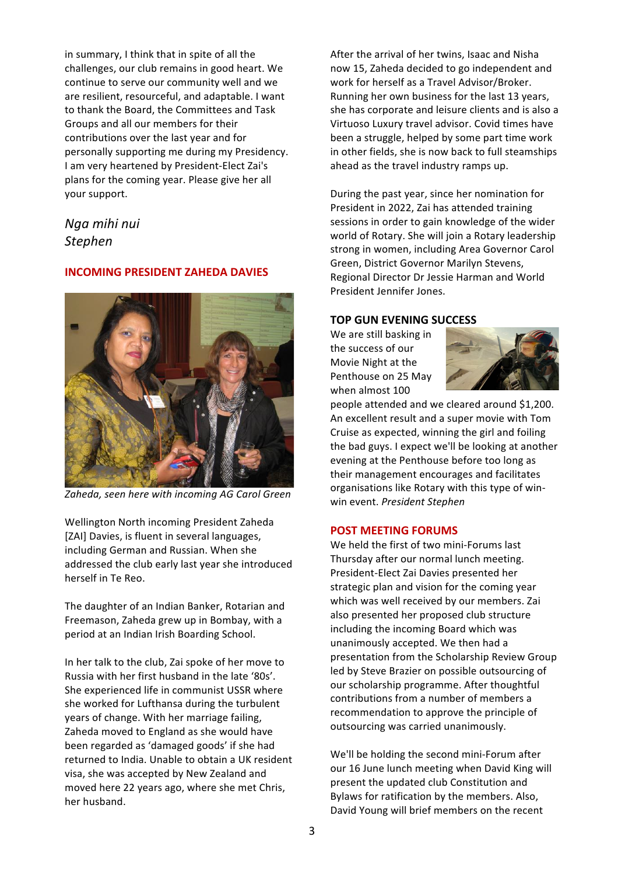in summary. I think that in spite of all the challenges, our club remains in good heart. We continue to serve our community well and we are resilient, resourceful, and adaptable. I want to thank the Board, the Committees and Task Groups and all our members for their contributions over the last year and for personally supporting me during my Presidency. I am very heartened by President-Elect Zai's plans for the coming year. Please give her all your support.

## *Nga mihi nui Stephen*

#### **INCOMING PRESIDENT ZAHEDA DAVIES**



Zaheda, seen here with incoming AG Carol Green

Wellington North incoming President Zaheda [ZAI] Davies, is fluent in several languages, including German and Russian. When she addressed the club early last year she introduced herself in Te Reo.

The daughter of an Indian Banker, Rotarian and Freemason, Zaheda grew up in Bombay, with a period at an Indian Irish Boarding School.

In her talk to the club, Zai spoke of her move to Russia with her first husband in the late '80s'. She experienced life in communist USSR where she worked for Lufthansa during the turbulent years of change. With her marriage failing, Zaheda moved to England as she would have been regarded as 'damaged goods' if she had returned to India. Unable to obtain a UK resident visa, she was accepted by New Zealand and moved here 22 years ago, where she met Chris, her husband.

After the arrival of her twins, Isaac and Nisha now 15, Zaheda decided to go independent and work for herself as a Travel Advisor/Broker. Running her own business for the last 13 years, she has corporate and leisure clients and is also a Virtuoso Luxury travel advisor. Covid times have been a struggle, helped by some part time work in other fields, she is now back to full steamships ahead as the travel industry ramps up.

During the past year, since her nomination for President in 2022, Zai has attended training sessions in order to gain knowledge of the wider world of Rotary. She will join a Rotary leadership strong in women, including Area Governor Carol Green, District Governor Marilyn Stevens, Regional Director Dr Jessie Harman and World President Jennifer Jones.

#### **TOP GUN EVENING SUCCESS**

We are still basking in the success of our Movie Night at the Penthouse on 25 May when almost 100



people attended and we cleared around \$1,200. An excellent result and a super movie with Tom Cruise as expected, winning the girl and foiling the bad guys. I expect we'll be looking at another evening at the Penthouse before too long as their management encourages and facilitates organisations like Rotary with this type of winwin event. *President Stephen*

#### **POST MEETING FORUMS**

We held the first of two mini-Forums last Thursday after our normal lunch meeting. President-Elect Zai Davies presented her strategic plan and vision for the coming year which was well received by our members. Zai also presented her proposed club structure including the incoming Board which was unanimously accepted. We then had a presentation from the Scholarship Review Group led by Steve Brazier on possible outsourcing of our scholarship programme. After thoughtful contributions from a number of members a recommendation to approve the principle of outsourcing was carried unanimously.

We'll be holding the second mini-Forum after our 16 June lunch meeting when David King will present the updated club Constitution and Bylaws for ratification by the members. Also, David Young will brief members on the recent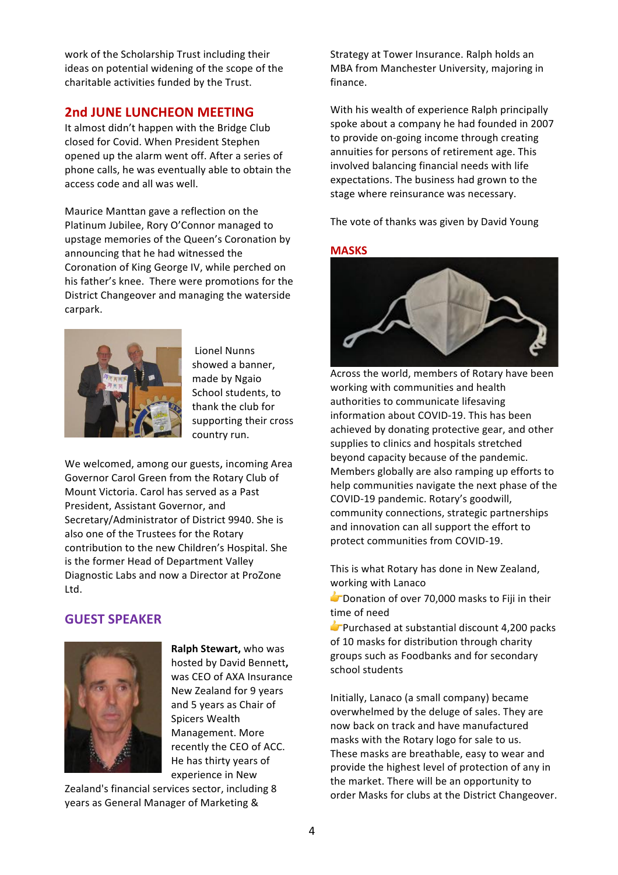work of the Scholarship Trust including their ideas on potential widening of the scope of the charitable activities funded by the Trust.

## **2nd JUNE LUNCHEON MEETING**

It almost didn't happen with the Bridge Club closed for Covid. When President Stephen opened up the alarm went off. After a series of phone calls, he was eventually able to obtain the access code and all was well.

Maurice Manttan gave a reflection on the Platinum Jubilee, Rory O'Connor managed to upstage memories of the Queen's Coronation by announcing that he had witnessed the Coronation of King George IV, while perched on his father's knee. There were promotions for the District Changeover and managing the waterside carpark.



Lionel Nunns showed a banner, made by Ngaio School students, to thank the club for supporting their cross country run.

We welcomed, among our guests, incoming Area Governor Carol Green from the Rotary Club of Mount Victoria. Carol has served as a Past President, Assistant Governor, and Secretary/Administrator of District 9940. She is also one of the Trustees for the Rotary contribution to the new Children's Hospital. She is the former Head of Department Valley Diagnostic Labs and now a Director at ProZone Ltd.

### **GUEST SPEAKER**



**Ralph Stewart, who was** hosted by David Bennett, was CEO of AXA Insurance New Zealand for 9 years and 5 years as Chair of Spicers Wealth Management. More recently the CEO of ACC. He has thirty years of experience in New

Zealand's financial services sector, including 8 years as General Manager of Marketing &

Strategy at Tower Insurance. Ralph holds an MBA from Manchester University, majoring in finance.

With his wealth of experience Ralph principally spoke about a company he had founded in 2007 to provide on-going income through creating annuities for persons of retirement age. This involved balancing financial needs with life expectations. The business had grown to the stage where reinsurance was necessary.

The vote of thanks was given by David Young

#### **MASKS**



Across the world, members of Rotary have been working with communities and health authorities to communicate lifesaving information about COVID-19. This has been achieved by donating protective gear, and other supplies to clinics and hospitals stretched beyond capacity because of the pandemic. Members globally are also ramping up efforts to help communities navigate the next phase of the COVID-19 pandemic. Rotary's goodwill, community connections, strategic partnerships and innovation can all support the effort to protect communities from COVID-19.

This is what Rotary has done in New Zealand, working with Lanaco

 $\blacktriangleright$  Donation of over 70,000 masks to Fiji in their time of need

 $\blacktriangleright$  Purchased at substantial discount 4,200 packs of 10 masks for distribution through charity groups such as Foodbanks and for secondary school students

Initially, Lanaco (a small company) became overwhelmed by the deluge of sales. They are now back on track and have manufactured masks with the Rotary logo for sale to us. These masks are breathable, easy to wear and provide the highest level of protection of any in the market. There will be an opportunity to order Masks for clubs at the District Changeover.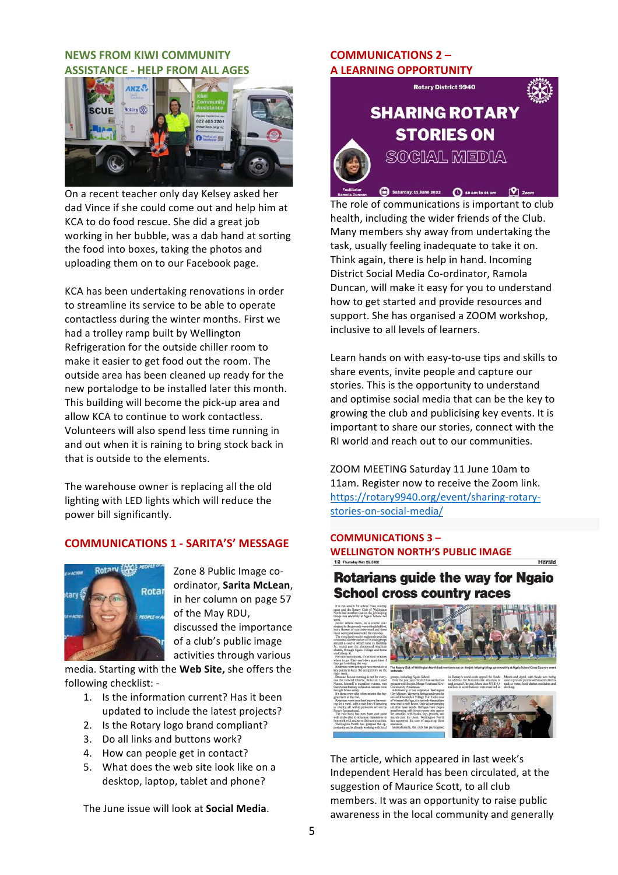#### **NEWS FROM KIWI COMMUNITY ASSISTANCE - HELP FROM ALL AGES**



On a recent teacher only day Kelsey asked her dad Vince if she could come out and help him at KCA to do food rescue. She did a great job working in her bubble, was a dab hand at sorting the food into boxes, taking the photos and uploading them on to our Facebook page.

KCA has been undertaking renovations in order to streamline its service to be able to operate contactless during the winter months. First we had a trolley ramp built by Wellington Refrigeration for the outside chiller room to make it easier to get food out the room. The outside area has been cleaned up ready for the new portalodge to be installed later this month. This building will become the pick-up area and allow KCA to continue to work contactless. Volunteers will also spend less time running in and out when it is raining to bring stock back in that is outside to the elements.

The warehouse owner is replacing all the old lighting with LED lights which will reduce the power bill significantly.

#### **COMMUNICATIONS 1 - SARITA'S' MESSAGE**



Zone 8 Public Image coordinator, **Sarita McLean**, in her column on page 57 of the May RDU, discussed the importance of a club's public image activities through various

media. Starting with the Web Site, she offers the following checklist: -

- 1. Is the information current? Has it been updated to include the latest projects?
- 2. Is the Rotary logo brand compliant?
- 3. Do all links and buttons work?
- 4. How can people get in contact?
- 5. What does the web site look like on a desktop, laptop, tablet and phone?

The June issue will look at **Social Media**.

#### **COMMUNICATIONS 2 – A LEARNING OPPORTUNITY**



The role of communications is important to club health, including the wider friends of the Club. Many members shy away from undertaking the task, usually feeling inadequate to take it on. Think again, there is help in hand. Incoming District Social Media Co-ordinator, Ramola Duncan, will make it easy for you to understand how to get started and provide resources and support. She has organised a ZOOM workshop, inclusive to all levels of learners.

Learn hands on with easy-to-use tips and skills to share events, invite people and capture our stories. This is the opportunity to understand and optimise social media that can be the key to growing the club and publicising key events. It is important to share our stories, connect with the RI world and reach out to our communities.

ZOOM MEETING Saturday 11 June 10am to 11am. Register now to receive the Zoom link. https://rotary9940.org/event/sharing-rotarystories-on-social-media/

## **COMMUNICATIONS 3 – WELLINGTON NORTH'S PUBLIC IMAGE**

## **Rotarians guide the way for Ngaio School cross country races**



The article, which appeared in last week's Independent Herald has been circulated, at the suggestion of Maurice Scott, to all club members. It was an opportunity to raise public awareness in the local community and generally